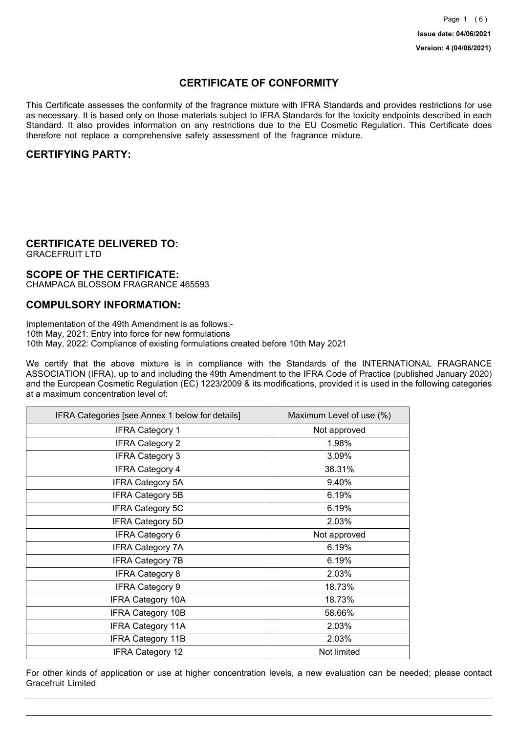## **CERTIFICATE OF CONFORMITY**

This Certificate assesses the conformity of the fragrance mixture with IFRA Standards and provides restrictions for use as necessary. It is based only on those materials subject to IFRA Standards for the toxicity endpoints described in each Standard. It also provides information on any restrictions due to the EU Cosmetic Regulation. This Certificate does therefore not replace a comprehensive safety assessment of the fragrance mixture.

## **CERTIFYING PARTY:**

## **CERTIFICATE DELIVERED TO:**

GRACEFRUIT LTD

### **SCOPE OF THE CERTIFICATE:**

CHAMPACA BLOSSOM FRAGRANCE 465593

### **COMPULSORY INFORMATION:**

Implementation of the 49th Amendment is as follows:- 10th May, 2021: Entry into force for new formulations 10th May, 2022: Compliance of existing formulations created before 10th May 2021

We certify that the above mixture is in compliance with the Standards of the INTERNATIONAL FRAGRANCE ASSOCIATION (IFRA), up to and including the 49th Amendment to the IFRA Code of Practice (published January 2020) and the European Cosmetic Regulation (EC) 1223/2009 & its modifications, provided it is used in the following categories at a maximum concentration level of:

| IFRA Categories [see Annex 1 below for details] | Maximum Level of use (%) |
|-------------------------------------------------|--------------------------|
| <b>IFRA Category 1</b>                          | Not approved             |
| <b>IFRA Category 2</b>                          | 1.98%                    |
| <b>IFRA Category 3</b>                          | 3.09%                    |
| <b>IFRA Category 4</b>                          | 38.31%                   |
| <b>IFRA Category 5A</b>                         | 9.40%                    |
| <b>IFRA Category 5B</b>                         | 6.19%                    |
| <b>IFRA Category 5C</b>                         | 6.19%                    |
| <b>IFRA Category 5D</b>                         | 2.03%                    |
| <b>IFRA Category 6</b>                          | Not approved             |
| <b>IFRA Category 7A</b>                         | 6.19%                    |
| <b>IFRA Category 7B</b>                         | 6.19%                    |
| <b>IFRA Category 8</b>                          | 2.03%                    |
| <b>IFRA Category 9</b>                          | 18.73%                   |
| <b>IFRA Category 10A</b>                        | 18.73%                   |
| <b>IFRA Category 10B</b>                        | 58.66%                   |
| <b>IFRA Category 11A</b>                        | 2.03%                    |
| <b>IFRA Category 11B</b>                        | 2.03%                    |
| <b>IFRA Category 12</b>                         | Not limited              |

For other kinds of application or use at higher concentration levels, a new evaluation can be needed; please contact Gracefruit Limited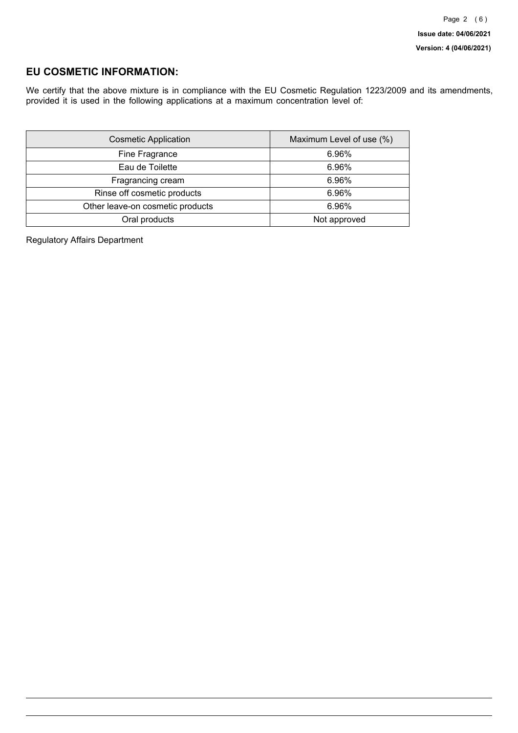## **EU COSMETIC INFORMATION:**

We certify that the above mixture is in compliance with the EU Cosmetic Regulation 1223/2009 and its amendments, provided it is used in the following applications at a maximum concentration level of:

| <b>Cosmetic Application</b>      | Maximum Level of use (%) |
|----------------------------------|--------------------------|
| Fine Fragrance                   | 6.96%                    |
| Eau de Toilette                  | 6.96%                    |
| Fragrancing cream                | 6.96%                    |
| Rinse off cosmetic products      | 6.96%                    |
| Other leave-on cosmetic products | 6.96%                    |
| Oral products                    | Not approved             |

Regulatory Affairs Department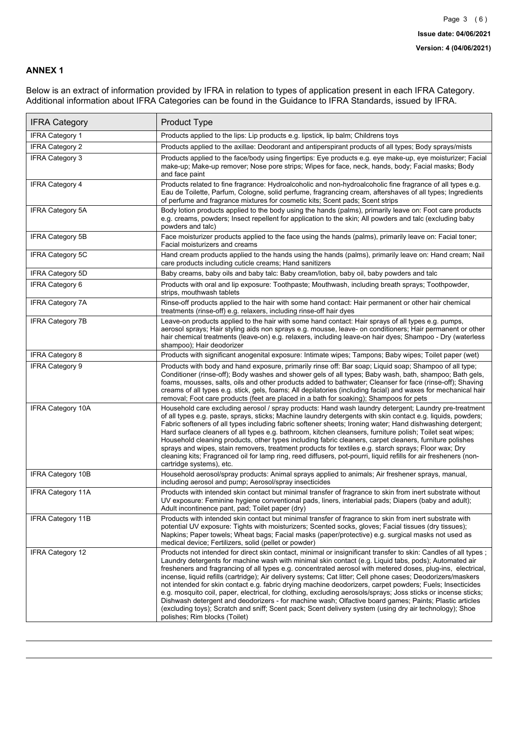### **ANNEX 1**

Below is an extract of information provided by IFRA in relation to types of application present in each IFRA Category. Additional information about IFRA Categories can be found in the Guidance to IFRA Standards, issued by IFRA.

| <b>IFRA Category</b>     | Product Type                                                                                                                                                                                                                                                                                                                                                                                                                                                                                                                                                                                                                                                                                                                                                                                                                                                                                                                                 |
|--------------------------|----------------------------------------------------------------------------------------------------------------------------------------------------------------------------------------------------------------------------------------------------------------------------------------------------------------------------------------------------------------------------------------------------------------------------------------------------------------------------------------------------------------------------------------------------------------------------------------------------------------------------------------------------------------------------------------------------------------------------------------------------------------------------------------------------------------------------------------------------------------------------------------------------------------------------------------------|
| IFRA Category 1          | Products applied to the lips: Lip products e.g. lipstick, lip balm; Childrens toys                                                                                                                                                                                                                                                                                                                                                                                                                                                                                                                                                                                                                                                                                                                                                                                                                                                           |
| <b>IFRA Category 2</b>   | Products applied to the axillae: Deodorant and antiperspirant products of all types; Body sprays/mists                                                                                                                                                                                                                                                                                                                                                                                                                                                                                                                                                                                                                                                                                                                                                                                                                                       |
| <b>IFRA Category 3</b>   | Products applied to the face/body using fingertips: Eye products e.g. eye make-up, eye moisturizer; Facial<br>make-up; Make-up remover; Nose pore strips; Wipes for face, neck, hands, body; Facial masks; Body<br>and face paint                                                                                                                                                                                                                                                                                                                                                                                                                                                                                                                                                                                                                                                                                                            |
| <b>IFRA Category 4</b>   | Products related to fine fragrance: Hydroalcoholic and non-hydroalcoholic fine fragrance of all types e.g.<br>Eau de Toilette, Parfum, Cologne, solid perfume, fragrancing cream, aftershaves of all types; Ingredients<br>of perfume and fragrance mixtures for cosmetic kits; Scent pads; Scent strips                                                                                                                                                                                                                                                                                                                                                                                                                                                                                                                                                                                                                                     |
| <b>IFRA Category 5A</b>  | Body lotion products applied to the body using the hands (palms), primarily leave on: Foot care products<br>e.g. creams, powders; Insect repellent for application to the skin; All powders and talc (excluding baby<br>powders and talc)                                                                                                                                                                                                                                                                                                                                                                                                                                                                                                                                                                                                                                                                                                    |
| IFRA Category 5B         | Face moisturizer products applied to the face using the hands (palms), primarily leave on: Facial toner;<br>Facial moisturizers and creams                                                                                                                                                                                                                                                                                                                                                                                                                                                                                                                                                                                                                                                                                                                                                                                                   |
| <b>IFRA Category 5C</b>  | Hand cream products applied to the hands using the hands (palms), primarily leave on: Hand cream; Nail<br>care products including cuticle creams; Hand sanitizers                                                                                                                                                                                                                                                                                                                                                                                                                                                                                                                                                                                                                                                                                                                                                                            |
| <b>IFRA Category 5D</b>  | Baby creams, baby oils and baby talc: Baby cream/lotion, baby oil, baby powders and talc                                                                                                                                                                                                                                                                                                                                                                                                                                                                                                                                                                                                                                                                                                                                                                                                                                                     |
| IFRA Category 6          | Products with oral and lip exposure: Toothpaste; Mouthwash, including breath sprays; Toothpowder,<br>strips, mouthwash tablets                                                                                                                                                                                                                                                                                                                                                                                                                                                                                                                                                                                                                                                                                                                                                                                                               |
| <b>IFRA Category 7A</b>  | Rinse-off products applied to the hair with some hand contact: Hair permanent or other hair chemical<br>treatments (rinse-off) e.g. relaxers, including rinse-off hair dyes                                                                                                                                                                                                                                                                                                                                                                                                                                                                                                                                                                                                                                                                                                                                                                  |
| <b>IFRA Category 7B</b>  | Leave-on products applied to the hair with some hand contact: Hair sprays of all types e.g. pumps,<br>aerosol sprays; Hair styling aids non sprays e.g. mousse, leave- on conditioners; Hair permanent or other<br>hair chemical treatments (leave-on) e.g. relaxers, including leave-on hair dyes; Shampoo - Dry (waterless<br>shampoo); Hair deodorizer                                                                                                                                                                                                                                                                                                                                                                                                                                                                                                                                                                                    |
| <b>IFRA Category 8</b>   | Products with significant anogenital exposure: Intimate wipes; Tampons; Baby wipes; Toilet paper (wet)                                                                                                                                                                                                                                                                                                                                                                                                                                                                                                                                                                                                                                                                                                                                                                                                                                       |
| IFRA Category 9          | Products with body and hand exposure, primarily rinse off: Bar soap; Liquid soap; Shampoo of all type;<br>Conditioner (rinse-off); Body washes and shower gels of all types; Baby wash, bath, shampoo; Bath gels,<br>foams, mousses, salts, oils and other products added to bathwater; Cleanser for face (rinse-off); Shaving<br>creams of all types e.g. stick, gels, foams; All depilatories (including facial) and waxes for mechanical hair<br>removal; Foot care products (feet are placed in a bath for soaking); Shampoos for pets                                                                                                                                                                                                                                                                                                                                                                                                   |
| <b>IFRA Category 10A</b> | Household care excluding aerosol / spray products: Hand wash laundry detergent; Laundry pre-treatment<br>of all types e.g. paste, sprays, sticks; Machine laundry detergents with skin contact e.g. liquids, powders;<br>Fabric softeners of all types including fabric softener sheets; Ironing water; Hand dishwashing detergent;<br>Hard surface cleaners of all types e.g. bathroom, kitchen cleansers, furniture polish; Toilet seat wipes;<br>Household cleaning products, other types including fabric cleaners, carpet cleaners, furniture polishes<br>sprays and wipes, stain removers, treatment products for textiles e.g. starch sprays; Floor wax; Dry<br>cleaning kits; Fragranced oil for lamp ring, reed diffusers, pot-pourri, liquid refills for air fresheners (non-<br>cartridge systems), etc.                                                                                                                          |
| <b>IFRA Category 10B</b> | Household aerosol/spray products: Animal sprays applied to animals; Air freshener sprays, manual,<br>including aerosol and pump; Aerosol/spray insecticides                                                                                                                                                                                                                                                                                                                                                                                                                                                                                                                                                                                                                                                                                                                                                                                  |
| <b>IFRA Category 11A</b> | Products with intended skin contact but minimal transfer of fragrance to skin from inert substrate without<br>UV exposure: Feminine hygiene conventional pads, liners, interlabial pads; Diapers (baby and adult);<br>Adult incontinence pant, pad; Toilet paper (dry)                                                                                                                                                                                                                                                                                                                                                                                                                                                                                                                                                                                                                                                                       |
| <b>IFRA Category 11B</b> | Products with intended skin contact but minimal transfer of fragrance to skin from inert substrate with<br>potential UV exposure: Tights with moisturizers; Scented socks, gloves; Facial tissues (dry tissues);<br>Napkins; Paper towels; Wheat bags; Facial masks (paper/protective) e.g. surgical masks not used as<br>medical device; Fertilizers, solid (pellet or powder)                                                                                                                                                                                                                                                                                                                                                                                                                                                                                                                                                              |
| <b>IFRA Category 12</b>  | Products not intended for direct skin contact, minimal or insignificant transfer to skin: Candles of all types;<br>Laundry detergents for machine wash with minimal skin contact (e.g. Liquid tabs, pods); Automated air<br>fresheners and fragrancing of all types e.g. concentrated aerosol with metered doses, plug-ins, electrical,<br>incense, liquid refills (cartridge); Air delivery systems; Cat litter; Cell phone cases; Deodorizers/maskers<br>not intended for skin contact e.g. fabric drying machine deodorizers, carpet powders; Fuels; Insecticides<br>e.g. mosquito coil, paper, electrical, for clothing, excluding aerosols/sprays; Joss sticks or incense sticks;<br>Dishwash detergent and deodorizers - for machine wash; Olfactive board games; Paints; Plastic articles<br>(excluding toys); Scratch and sniff; Scent pack; Scent delivery system (using dry air technology); Shoe<br>polishes; Rim blocks (Toilet) |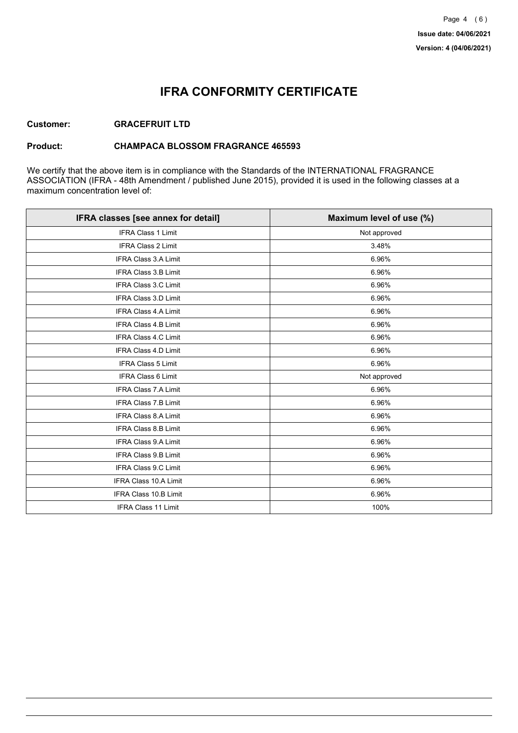## **IFRA CONFORMITY CERTIFICATE**

### **Customer: GRACEFRUIT LTD**

#### **Product: CHAMPACA BLOSSOM FRAGRANCE 465593**

We certify that the above item is in compliance with the Standards of the INTERNATIONAL FRAGRANCE ASSOCIATION (IFRA - 48th Amendment / published June 2015), provided it is used in the following classes at a maximum concentration level of:

| IFRA classes [see annex for detail] | Maximum level of use (%) |
|-------------------------------------|--------------------------|
| <b>IFRA Class 1 Limit</b>           | Not approved             |
| IFRA Class 2 Limit                  | 3.48%                    |
| <b>IFRA Class 3.A Limit</b>         | 6.96%                    |
| IFRA Class 3.B Limit                | 6.96%                    |
| IFRA Class 3.C Limit                | 6.96%                    |
| IFRA Class 3.D Limit                | 6.96%                    |
| <b>IFRA Class 4.A Limit</b>         | 6.96%                    |
| <b>IFRA Class 4.B Limit</b>         | 6.96%                    |
| IFRA Class 4.C Limit                | 6.96%                    |
| <b>IFRA Class 4.D Limit</b>         | 6.96%                    |
| <b>IFRA Class 5 Limit</b>           | 6.96%                    |
| <b>IFRA Class 6 Limit</b>           | Not approved             |
| <b>IFRA Class 7.A Limit</b>         | 6.96%                    |
| <b>IFRA Class 7.B Limit</b>         | 6.96%                    |
| IFRA Class 8.A Limit                | 6.96%                    |
| IFRA Class 8.B Limit                | 6.96%                    |
| <b>IFRA Class 9.A Limit</b>         | 6.96%                    |
| IFRA Class 9.B Limit                | 6.96%                    |
| IFRA Class 9.C Limit                | 6.96%                    |
| IFRA Class 10.A Limit               | 6.96%                    |
| IFRA Class 10.B Limit               | 6.96%                    |
| <b>IFRA Class 11 Limit</b>          | 100%                     |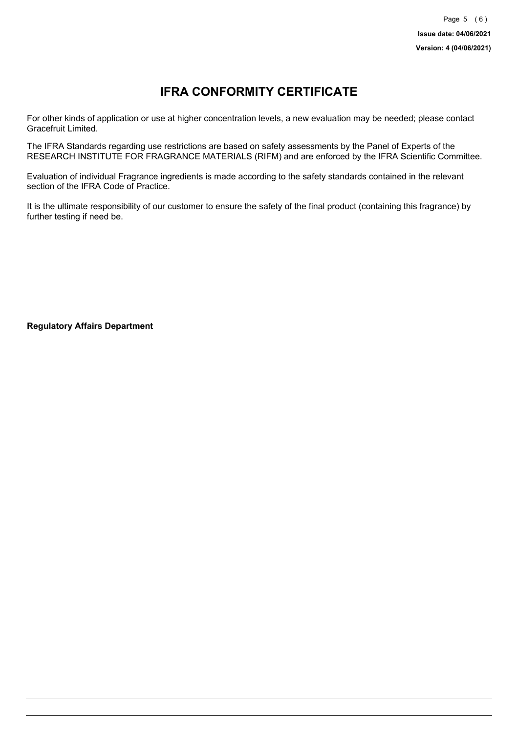# **IFRA CONFORMITY CERTIFICATE**

For other kinds of application or use at higher concentration levels, a new evaluation may be needed; please contact Gracefruit Limited.

The IFRA Standards regarding use restrictions are based on safety assessments by the Panel of Experts of the RESEARCH INSTITUTE FOR FRAGRANCE MATERIALS (RIFM) and are enforced by the IFRA Scientific Committee.

Evaluation of individual Fragrance ingredients is made according to the safety standards contained in the relevant section of the IFRA Code of Practice.

It is the ultimate responsibility of our customer to ensure the safety of the final product (containing this fragrance) by further testing if need be.

**Regulatory Affairs Department**